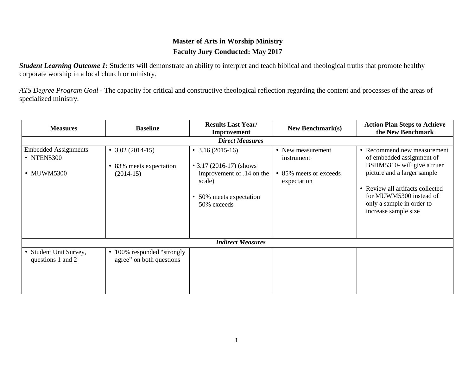# **Master of Arts in Worship Ministry Faculty Jury Conducted: May 2017**

**Student Learning Outcome 1:** Students will demonstrate an ability to interpret and teach biblical and theological truths that promote healthy corporate worship in a local church or ministry.

*ATS Degree Program Goal -* The capacity for critical and constructive theological reflection regarding the content and processes of the areas of specialized ministry.

| <b>Measures</b>                                         | <b>Baseline</b>                                                               | <b>Results Last Year/</b><br>Improvement                                                                                             | <b>New Benchmark(s)</b>                                                  | <b>Action Plan Steps to Achieve</b><br>the New Benchmark                                                                                                                                                                                   |  |
|---------------------------------------------------------|-------------------------------------------------------------------------------|--------------------------------------------------------------------------------------------------------------------------------------|--------------------------------------------------------------------------|--------------------------------------------------------------------------------------------------------------------------------------------------------------------------------------------------------------------------------------------|--|
|                                                         |                                                                               | <b>Direct Measures</b>                                                                                                               |                                                                          |                                                                                                                                                                                                                                            |  |
| <b>Embedded Assignments</b><br>• NTEN5300<br>• MUWM5300 | $\bullet$ 3.02 (2014-15)<br>83% meets expectation<br>$\bullet$<br>$(2014-15)$ | $\bullet$ 3.16 (2015-16)<br>• 3.17 (2016-17) (shows<br>improvement of .14 on the<br>scale)<br>• 50% meets expectation<br>50% exceeds | • New measurement<br>instrument<br>• 85% meets or exceeds<br>expectation | • Recommend new measurement<br>of embedded assignment of<br>BSHM5310- will give a truer<br>picture and a larger sample<br>• Review all artifacts collected<br>for MUWM5300 instead of<br>only a sample in order to<br>increase sample size |  |
| <b>Indirect Measures</b>                                |                                                                               |                                                                                                                                      |                                                                          |                                                                                                                                                                                                                                            |  |
| • Student Unit Survey,<br>questions 1 and 2             | 100% responded "strongly<br>$\bullet$<br>agree" on both questions             |                                                                                                                                      |                                                                          |                                                                                                                                                                                                                                            |  |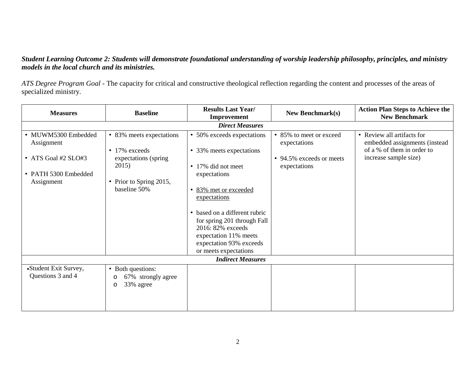#### *Student Learning Outcome 2: Students will demonstrate foundational understanding of worship leadership philosophy, principles, and ministry models in the local church and its ministries.*

*ATS Degree Program Goal -* The capacity for critical and constructive theological reflection regarding the content and processes of the areas of specialized ministry.

| <b>Measures</b>                                                                                | <b>Baseline</b>                                                                                                               | <b>Results Last Year/</b><br>Improvement                                                                                                                                                                                                                                                                   | <b>New Benchmark(s)</b>                                                             | <b>Action Plan Steps to Achieve the</b><br><b>New Benchmark</b>                                                    |  |
|------------------------------------------------------------------------------------------------|-------------------------------------------------------------------------------------------------------------------------------|------------------------------------------------------------------------------------------------------------------------------------------------------------------------------------------------------------------------------------------------------------------------------------------------------------|-------------------------------------------------------------------------------------|--------------------------------------------------------------------------------------------------------------------|--|
|                                                                                                |                                                                                                                               | <b>Direct Measures</b>                                                                                                                                                                                                                                                                                     |                                                                                     |                                                                                                                    |  |
| • MUWM5300 Embedded<br>Assignment<br>• ATS Goal #2 SLO#3<br>• PATH 5300 Embedded<br>Assignment | • 83% meets expectations<br>$\bullet$ 17% exceeds<br>expectations (spring<br>2015)<br>• Prior to Spring 2015,<br>baseline 50% | • 50% exceeds expectations<br>• 33% meets expectations<br>• 17% did not meet<br>expectations<br>83% met or exceeded<br>٠<br>expectations<br>• based on a different rubric<br>for spring 201 through Fall<br>2016: 82% exceeds<br>expectation 11% meets<br>expectation 93% exceeds<br>or meets expectations | • 85% to meet or exceed<br>expectations<br>• 94.5% exceeds or meets<br>expectations | • Review all artifacts for<br>embedded assignments (instead<br>of a % of them in order to<br>increase sample size) |  |
| <b>Indirect Measures</b>                                                                       |                                                                                                                               |                                                                                                                                                                                                                                                                                                            |                                                                                     |                                                                                                                    |  |
| •Student Exit Survey,<br>Questions 3 and 4                                                     | • Both questions:<br>67% strongly agree<br>O<br>33% agree<br>$\circ$                                                          |                                                                                                                                                                                                                                                                                                            |                                                                                     |                                                                                                                    |  |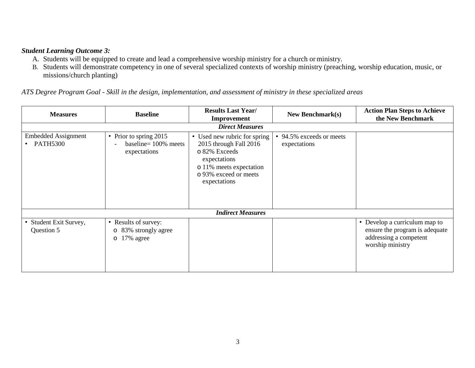#### *Student Learning Outcome 3:*

- A. Students will be equipped to create and lead a comprehensive worship ministry for a church or ministry.
- B. Students will demonstrate competency in one of several specialized contexts of worship ministry (preaching, worship education, music, or missions/church planting)

|  |  |  |  | ATS Degree Program Goal - Skill in the design, implementation, and assessment of ministry in these specialized areas |
|--|--|--|--|----------------------------------------------------------------------------------------------------------------------|
|--|--|--|--|----------------------------------------------------------------------------------------------------------------------|

| <b>Measures</b>                          | <b>Baseline</b>                                                            | <b>Results Last Year/</b><br>Improvement                                                                                                                    | New Benchmark $(s)$                      | <b>Action Plan Steps to Achieve</b><br>the New Benchmark                                                      |
|------------------------------------------|----------------------------------------------------------------------------|-------------------------------------------------------------------------------------------------------------------------------------------------------------|------------------------------------------|---------------------------------------------------------------------------------------------------------------|
|                                          |                                                                            | <b>Direct Measures</b>                                                                                                                                      |                                          |                                                                                                               |
| <b>Embedded Assignment</b><br>• PATH5300 | • Prior to spring $2015$<br>baseline= $100\%$ meets<br>expectations        | • Used new rubric for spring<br>2015 through Fall 2016<br>o 82% Exceeds<br>expectations<br>o 11% meets expectation<br>o 93% exceed or meets<br>expectations | • 94.5% exceeds or meets<br>expectations |                                                                                                               |
|                                          |                                                                            | <b>Indirect Measures</b>                                                                                                                                    |                                          |                                                                                                               |
| • Student Exit Survey,<br>Question 5     | • Results of survey:<br>83% strongly agree<br>$\circ$<br>$\circ$ 17% agree |                                                                                                                                                             |                                          | • Develop a curriculum map to<br>ensure the program is adequate<br>addressing a competent<br>worship ministry |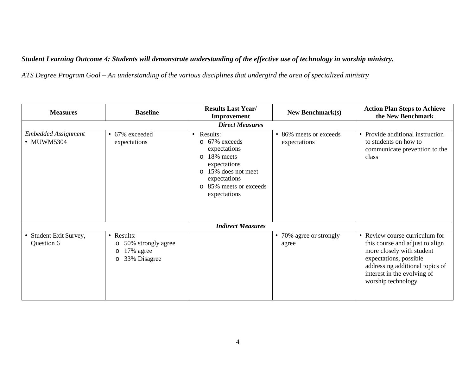## *Student Learning Outcome 4: Students will demonstrate understanding of the effective use of technology in worship ministry.*

*ATS Degree Program Goal – An understanding of the various disciplines that undergird the area of specialized ministry*

| <b>Measures</b>                          | <b>Baseline</b>                                                                                | <b>Results Last Year/</b><br>Improvement                                                                                                                                                           | <b>New Benchmark(s)</b>                | <b>Action Plan Steps to Achieve</b><br>the New Benchmark                                                                                                                                                         |
|------------------------------------------|------------------------------------------------------------------------------------------------|----------------------------------------------------------------------------------------------------------------------------------------------------------------------------------------------------|----------------------------------------|------------------------------------------------------------------------------------------------------------------------------------------------------------------------------------------------------------------|
|                                          |                                                                                                | <b>Direct Measures</b>                                                                                                                                                                             |                                        |                                                                                                                                                                                                                  |
| <b>Embedded Assignment</b><br>• MUWM5304 | • 67% exceeded<br>expectations                                                                 | Results:<br>$\bullet$<br>67% exceeds<br>$\circ$<br>expectations<br>18% meets<br>$\circ$<br>expectations<br>15% does not meet<br>$\Omega$<br>expectations<br>o 85% meets or exceeds<br>expectations | • 86% meets or exceeds<br>expectations | • Provide additional instruction<br>to students on how to<br>communicate prevention to the<br>class                                                                                                              |
|                                          |                                                                                                | <b>Indirect Measures</b>                                                                                                                                                                           |                                        |                                                                                                                                                                                                                  |
| • Student Exit Survey,<br>Question 6     | • Results:<br>50% strongly agree<br>$\circ$<br>17% agree<br>$\circ$<br>33% Disagree<br>$\circ$ |                                                                                                                                                                                                    | • 70% agree or strongly<br>agree       | • Review course curriculum for<br>this course and adjust to align<br>more closely with student<br>expectations, possible<br>addressing additional topics of<br>interest in the evolving of<br>worship technology |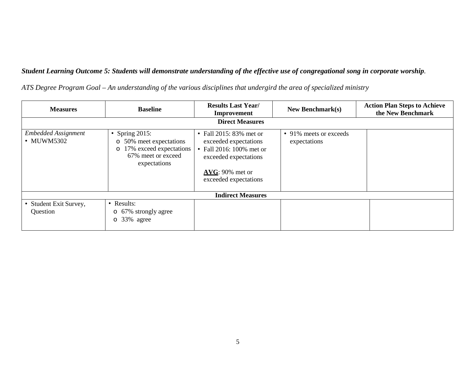### *Student Learning Outcome 5: Students will demonstrate understanding of the effective use of congregational song in corporate worship.*

*ATS Degree Program Goal – An understanding of the various disciplines that undergird the area of specialized ministry*

| <b>Measures</b>                          | <b>Baseline</b>                                                                                                          | <b>Results Last Year/</b><br>Improvement                                                                                                             | New Benchmark $(s)$                    | <b>Action Plan Steps to Achieve</b><br>the New Benchmark |  |  |
|------------------------------------------|--------------------------------------------------------------------------------------------------------------------------|------------------------------------------------------------------------------------------------------------------------------------------------------|----------------------------------------|----------------------------------------------------------|--|--|
|                                          | <b>Direct Measures</b>                                                                                                   |                                                                                                                                                      |                                        |                                                          |  |  |
| <b>Embedded Assignment</b><br>• MUWM5302 | • Spring $2015$ :<br>o 50% meet expectations<br>17% exceed expectations<br>$\circ$<br>67% meet or exceed<br>expectations | • Fall 2015: 83% met or<br>exceeded expectations<br>• Fall 2016: 100% met or<br>exceeded expectations<br>$AVG: 90\%$ met or<br>exceeded expectations | • 91% meets or exceeds<br>expectations |                                                          |  |  |
| <b>Indirect Measures</b>                 |                                                                                                                          |                                                                                                                                                      |                                        |                                                          |  |  |
| • Student Exit Survey,<br>Question       | • Results:<br>67% strongly agree<br>$\circ$<br>o 33% agree                                                               |                                                                                                                                                      |                                        |                                                          |  |  |